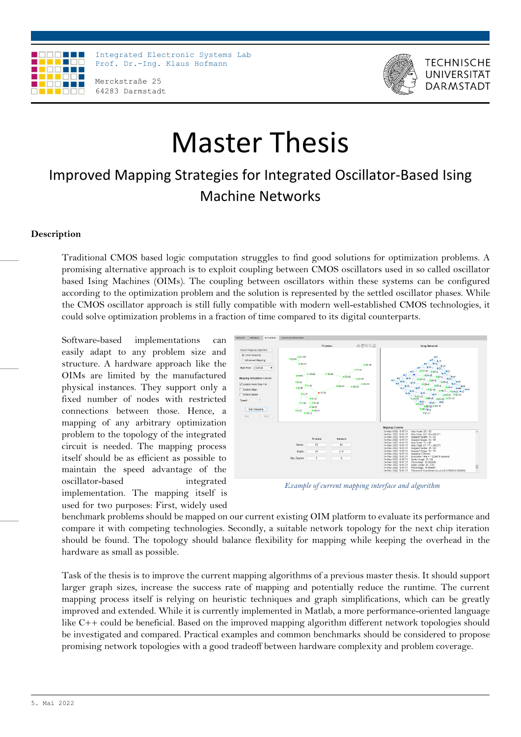

Integrated Electronic Systems Lab Prof. Dr.-Ing. Klaus Hofmann

Merckstraße 25 64283 Darmstadt



**TECHNISCHE** UNIVERSITÄT **DARMSTAD** 

# Master Thesis

## Improved Mapping Strategies for Integrated Oscillator-Based Ising Machine Networks

### **Description**

Traditional CMOS based logic computation struggles to find good solutions for optimization problems. A promising alternative approach is to exploit coupling between CMOS oscillators used in so called oscillator based Ising Machines (OIMs). The coupling between oscillators within these systems can be configured according to the optimization problem and the solution is represented by the settled oscillator phases. While the CMOS oscillator approach is still fully compatible with modern well-established CMOS technologies, it could solve optimization problems in a fraction of time compared to its digital counterparts.

Software-based implementations can easily adapt to any problem size and structure. A hardware approach like the OIMs are limited by the manufactured physical instances. They support only a fixed number of nodes with restricted connections between those. Hence, a mapping of any arbitrary optimization problem to the topology of the integrated circuit is needed. The mapping process itself should be as efficient as possible to maintain the speed advantage of the oscillator-based integrated implementation. The mapping itself is used for two purposes: First, widely used



*Example of current mapping interface and algorithm*

benchmark problems should be mapped on our current existing OIM platform to evaluate its performance and compare it with competing technologies. Secondly, a suitable network topology for the next chip iteration should be found. The topology should balance flexibility for mapping while keeping the overhead in the hardware as small as possible.

Task of the thesis is to improve the current mapping algorithms of a previous master thesis. It should support larger graph sizes, increase the success rate of mapping and potentially reduce the runtime. The current mapping process itself is relying on heuristic techniques and graph simplifications, which can be greatly improved and extended. While it is currently implemented in Matlab, a more performance-oriented language like C++ could be beneficial. Based on the improved mapping algorithm different network topologies should be investigated and compared. Practical examples and common benchmarks should be considered to propose promising network topologies with a good tradeoff between hardware complexity and problem coverage.